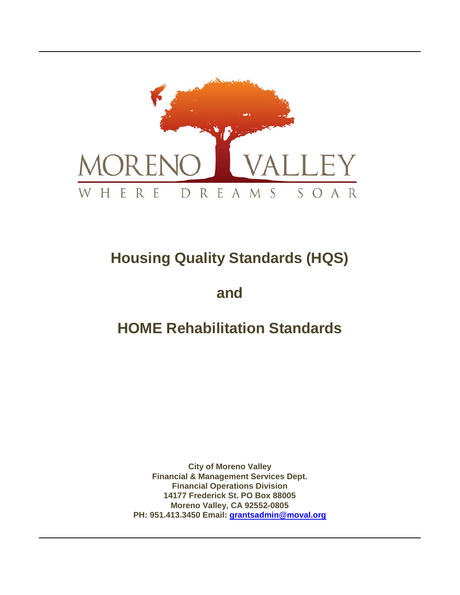

# **Housing Quality Standards (HQS)**

**and**

# **HOME Rehabilitation Standards**

**City of Moreno Valley Financial & Management Services Dept. Financial Operations Division 14177 Frederick St. PO Box 88005 Moreno Valley, CA 92552-0805 PH: 951.413.3450 Email: [grantsadmin@moval.org](mailto:grantsadmin@moval.org)**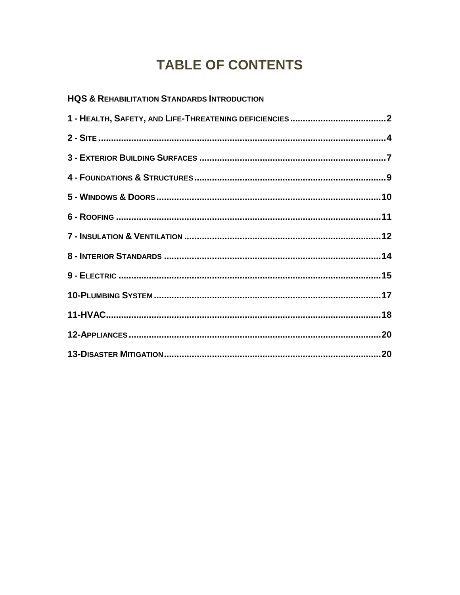## **TABLE OF CONTENTS**

| <b>HQS &amp; REHABILITATION STANDARDS INTRODUCTION</b> |  |
|--------------------------------------------------------|--|
|                                                        |  |
|                                                        |  |
|                                                        |  |
|                                                        |  |
|                                                        |  |
|                                                        |  |
|                                                        |  |
|                                                        |  |
|                                                        |  |
|                                                        |  |
|                                                        |  |
|                                                        |  |
|                                                        |  |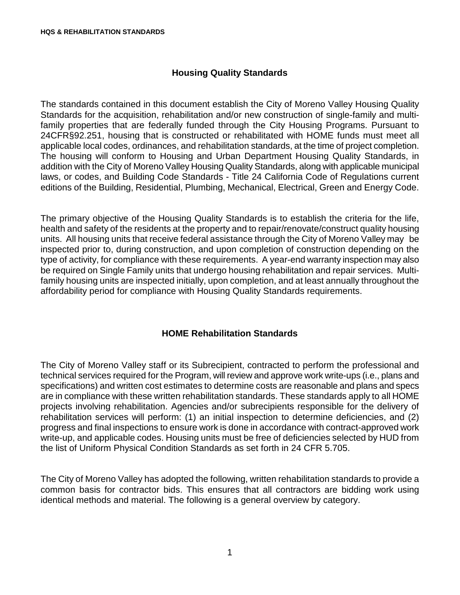#### **Housing Quality Standards**

The standards contained in this document establish the City of Moreno Valley Housing Quality Standards for the acquisition, rehabilitation and/or new construction of single-family and multifamily properties that are federally funded through the City Housing Programs. Pursuant to 24CFR§92.251, housing that is constructed or rehabilitated with HOME funds must meet all applicable local codes, ordinances, and rehabilitation standards, at the time of project completion. The housing will conform to Housing and Urban Department Housing Quality Standards, in addition with the City of Moreno Valley Housing Quality Standards, along with applicable municipal laws, or codes, and Building Code Standards - Title 24 California Code of Regulations current editions of the Building, Residential, Plumbing, Mechanical, Electrical, Green and Energy Code.

The primary objective of the Housing Quality Standards is to establish the criteria for the life, health and safety of the residents at the property and to repair/renovate/construct quality housing units. All housing units that receive federal assistance through the City of Moreno Valley may be inspected prior to, during construction, and upon completion of construction depending on the type of activity, for compliance with these requirements. A year-end warranty inspection may also be required on Single Family units that undergo housing rehabilitation and repair services. Multifamily housing units are inspected initially, upon completion, and at least annually throughout the affordability period for compliance with Housing Quality Standards requirements.

#### **HOME Rehabilitation Standards**

The City of Moreno Valley staff or its Subrecipient, contracted to perform the professional and technical services required for the Program, will review and approve work write-ups (i.e., plans and specifications) and written cost estimates to determine costs are reasonable and plans and specs are in compliance with these written rehabilitation standards. These standards apply to all HOME projects involving rehabilitation. Agencies and/or subrecipients responsible for the delivery of rehabilitation services will perform: (1) an initial inspection to determine deficiencies, and (2) progress and final inspections to ensure work is done in accordance with contract-approved work write-up, and applicable codes. Housing units must be free of deficiencies selected by HUD from the list of Uniform Physical Condition Standards as set forth in 24 CFR 5.705.

The City of Moreno Valley has adopted the following, written rehabilitation standards to provide a common basis for contractor bids. This ensures that all contractors are bidding work using identical methods and material. The following is a general overview by category.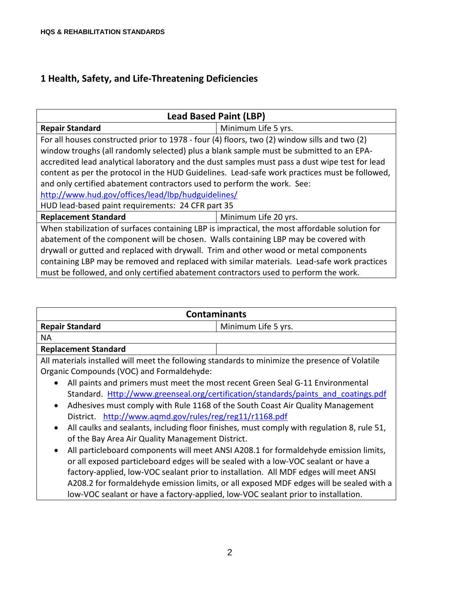## **1 Health, Safety, and Life-Threatening Deficiencies**

| <b>Lead Based Paint (LBP)</b>                                                                                                                                                                                                                                                                                                                                                                                                                                                                                                                                                    |                     |  |
|----------------------------------------------------------------------------------------------------------------------------------------------------------------------------------------------------------------------------------------------------------------------------------------------------------------------------------------------------------------------------------------------------------------------------------------------------------------------------------------------------------------------------------------------------------------------------------|---------------------|--|
| <b>Repair Standard</b>                                                                                                                                                                                                                                                                                                                                                                                                                                                                                                                                                           | Minimum Life 5 yrs. |  |
| For all houses constructed prior to 1978 - four (4) floors, two (2) window sills and two (2)<br>window troughs (all randomly selected) plus a blank sample must be submitted to an EPA-<br>accredited lead analytical laboratory and the dust samples must pass a dust wipe test for lead<br>content as per the protocol in the HUD Guidelines. Lead-safe work practices must be followed,<br>and only certified abatement contractors used to perform the work. See:<br>http://www.hud.gov/offices/lead/lbp/hudguidelines/<br>HUD lead-based paint requirements: 24 CFR part 35 |                     |  |
| <b>Replacement Standard</b><br>Minimum Life 20 yrs.                                                                                                                                                                                                                                                                                                                                                                                                                                                                                                                              |                     |  |
| When stabilization of surfaces containing LBP is impractical, the most affordable solution for<br>abatement of the component will be chosen. Walls containing LBP may be covered with<br>drywall or gutted and replaced with drywall. Trim and other wood or metal components<br>containing LBP may be removed and replaced with similar materials. Lead-safe work practices<br>must be followed, and only certified abatement contractors used to perform the work.                                                                                                             |                     |  |

| <b>Contaminants</b>                                                                                     |                                                                                         |
|---------------------------------------------------------------------------------------------------------|-----------------------------------------------------------------------------------------|
| <b>Repair Standard</b><br>Minimum Life 5 yrs.                                                           |                                                                                         |
| <b>NA</b>                                                                                               |                                                                                         |
| <b>Replacement Standard</b>                                                                             |                                                                                         |
| All materials installed will meet the following standards to minimize the presence of Volatile          |                                                                                         |
| Organic Compounds (VOC) and Formaldehyde:                                                               |                                                                                         |
| All paints and primers must meet the most recent Green Seal G-11 Environmental<br>$\bullet$             |                                                                                         |
| Standard. Http://www.greenseal.org/certification/standards/paints and coatings.pdf                      |                                                                                         |
| Adhesives must comply with Rule 1168 of the South Coast Air Quality Management<br>$\bullet$             |                                                                                         |
| District. http://www.aqmd.gov/rules/reg/reg11/r1168.pdf                                                 |                                                                                         |
| All caulks and sealants, including floor finishes, must comply with regulation 8, rule 51,<br>$\bullet$ |                                                                                         |
| of the Bay Area Air Quality Management District.                                                        |                                                                                         |
| All particleboard components will meet ANSI A208.1 for formaldehyde emission limits,<br>$\bullet$       |                                                                                         |
| or all exposed particleboard edges will be sealed with a low-VOC sealant or have a                      |                                                                                         |
| factory-applied, low-VOC sealant prior to installation. All MDF edges will meet ANSI                    |                                                                                         |
|                                                                                                         | A208.2 for formaldehyde emission limits, or all exposed MDF edges will be sealed with a |
| low-VOC sealant or have a factory-applied, low-VOC sealant prior to installation.                       |                                                                                         |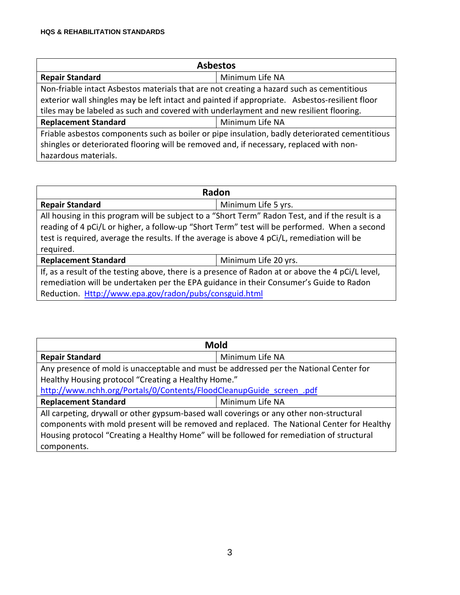| <b>Asbestos</b>                                                                                |                 |  |
|------------------------------------------------------------------------------------------------|-----------------|--|
| <b>Repair Standard</b>                                                                         | Minimum Life NA |  |
| Non-friable intact Asbestos materials that are not creating a hazard such as cementitious      |                 |  |
| exterior wall shingles may be left intact and painted if appropriate. Asbestos-resilient floor |                 |  |
| tiles may be labeled as such and covered with underlayment and new resilient flooring.         |                 |  |
| <b>Replacement Standard</b>                                                                    | Minimum Life NA |  |
| Friable asbestos components such as boiler or pipe insulation, badly deteriorated cementitious |                 |  |
| shingles or deteriorated flooring will be removed and, if necessary, replaced with non-        |                 |  |
| hazardous materials.                                                                           |                 |  |

| Radon                                                                                             |                      |  |
|---------------------------------------------------------------------------------------------------|----------------------|--|
| <b>Repair Standard</b>                                                                            | Minimum Life 5 yrs.  |  |
| All housing in this program will be subject to a "Short Term" Radon Test, and if the result is a  |                      |  |
| reading of 4 pCi/L or higher, a follow-up "Short Term" test will be performed. When a second      |                      |  |
| test is required, average the results. If the average is above 4 pCi/L, remediation will be       |                      |  |
| required.                                                                                         |                      |  |
| <b>Replacement Standard</b>                                                                       | Minimum Life 20 yrs. |  |
| If, as a result of the testing above, there is a presence of Radon at or above the 4 pCi/L level, |                      |  |
| remediation will be undertaken per the EPA guidance in their Consumer's Guide to Radon            |                      |  |
| Reduction. Http://www.epa.gov/radon/pubs/consguid.html                                            |                      |  |

| <b>Mold</b>                                                                                |                 |  |
|--------------------------------------------------------------------------------------------|-----------------|--|
| <b>Repair Standard</b>                                                                     | Minimum Life NA |  |
| Any presence of mold is unacceptable and must be addressed per the National Center for     |                 |  |
| Healthy Housing protocol "Creating a Healthy Home."                                        |                 |  |
| http://www.nchh.org/Portals/0/Contents/FloodCleanupGuide screen .pdf                       |                 |  |
| <b>Replacement Standard</b>                                                                | Minimum Life NA |  |
| All carpeting, drywall or other gypsum-based wall coverings or any other non-structural    |                 |  |
| components with mold present will be removed and replaced. The National Center for Healthy |                 |  |
| Housing protocol "Creating a Healthy Home" will be followed for remediation of structural  |                 |  |
| components.                                                                                |                 |  |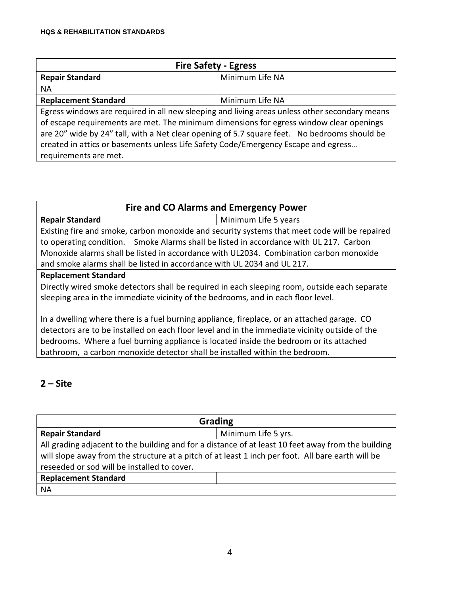| <b>Fire Safety - Egress</b>                                                                   |                 |  |
|-----------------------------------------------------------------------------------------------|-----------------|--|
| <b>Repair Standard</b>                                                                        | Minimum Life NA |  |
| <b>NA</b>                                                                                     |                 |  |
| <b>Replacement Standard</b>                                                                   | Minimum Life NA |  |
| Egress windows are required in all new sleeping and living areas unless other secondary means |                 |  |
| of escape requirements are met. The minimum dimensions for egress window clear openings       |                 |  |
| are 20" wide by 24" tall, with a Net clear opening of 5.7 square feet. No bedrooms should be  |                 |  |
| created in attics or basements unless Life Safety Code/Emergency Escape and egress            |                 |  |
| requirements are met.                                                                         |                 |  |

| <b>Fire and CO Alarms and Emergency Power</b>                                                  |                      |  |
|------------------------------------------------------------------------------------------------|----------------------|--|
| <b>Repair Standard</b>                                                                         | Minimum Life 5 years |  |
| Existing fire and smoke, carbon monoxide and security systems that meet code will be repaired  |                      |  |
| to operating condition. Smoke Alarms shall be listed in accordance with UL 217. Carbon         |                      |  |
| Monoxide alarms shall be listed in accordance with UL2034. Combination carbon monoxide         |                      |  |
| and smoke alarms shall be listed in accordance with UL 2034 and UL 217.                        |                      |  |
| <b>Replacement Standard</b>                                                                    |                      |  |
| Directly wired smoke detectors shall be required in each sleeping room, outside each separate  |                      |  |
| sleeping area in the immediate vicinity of the bedrooms, and in each floor level.              |                      |  |
|                                                                                                |                      |  |
| In a dwelling where there is a fuel burning appliance, fireplace, or an attached garage. CO    |                      |  |
| detectors are to be installed on each floor level and in the immediate vicinity outside of the |                      |  |
| bedrooms. Where a fuel burning appliance is located inside the bedroom or its attached         |                      |  |
| bathroom, a carbon monoxide detector shall be installed within the bedroom.                    |                      |  |

## **2 – Site**

| <b>Grading</b>                                                                                                                                                                                                                                         |                     |  |
|--------------------------------------------------------------------------------------------------------------------------------------------------------------------------------------------------------------------------------------------------------|---------------------|--|
| <b>Repair Standard</b>                                                                                                                                                                                                                                 | Minimum Life 5 yrs. |  |
| All grading adjacent to the building and for a distance of at least 10 feet away from the building<br>will slope away from the structure at a pitch of at least 1 inch per foot. All bare earth will be<br>reseeded or sod will be installed to cover. |                     |  |
| <b>Replacement Standard</b>                                                                                                                                                                                                                            |                     |  |
| <b>NA</b>                                                                                                                                                                                                                                              |                     |  |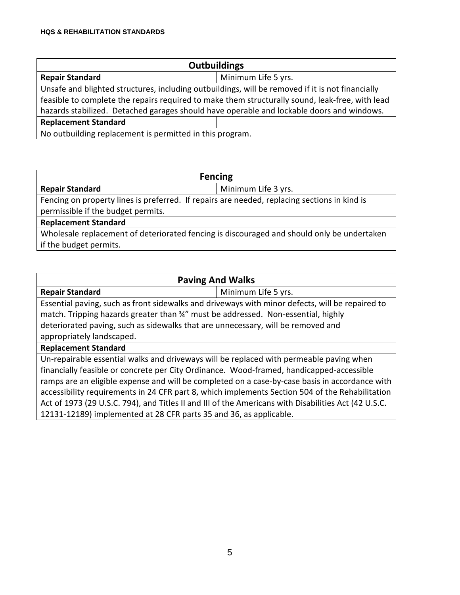| <b>Outbuildings</b>                                                                              |                     |  |
|--------------------------------------------------------------------------------------------------|---------------------|--|
| <b>Repair Standard</b>                                                                           | Minimum Life 5 yrs. |  |
| Unsafe and blighted structures, including outbuildings, will be removed if it is not financially |                     |  |
| feasible to complete the repairs required to make them structurally sound, leak-free, with lead  |                     |  |
| hazards stabilized. Detached garages should have operable and lockable doors and windows.        |                     |  |
| <b>Replacement Standard</b>                                                                      |                     |  |
| No outbuilding replacement is permitted in this program.                                         |                     |  |

| <b>Fencing</b>                                                                               |                     |  |
|----------------------------------------------------------------------------------------------|---------------------|--|
| <b>Repair Standard</b>                                                                       | Minimum Life 3 yrs. |  |
| Fencing on property lines is preferred. If repairs are needed, replacing sections in kind is |                     |  |
| permissible if the budget permits.                                                           |                     |  |
| <b>Replacement Standard</b>                                                                  |                     |  |
| Wholesale replacement of deteriorated fencing is discouraged and should only be undertaken   |                     |  |
| if the budget permits.                                                                       |                     |  |

| <b>Paving And Walks</b>                                                                              |                                                                                                 |
|------------------------------------------------------------------------------------------------------|-------------------------------------------------------------------------------------------------|
| <b>Repair Standard</b>                                                                               | Minimum Life 5 yrs.                                                                             |
| Essential paving, such as front sidewalks and driveways with minor defects, will be repaired to      |                                                                                                 |
| match. Tripping hazards greater than 34" must be addressed. Non-essential, highly                    |                                                                                                 |
| deteriorated paving, such as sidewalks that are unnecessary, will be removed and                     |                                                                                                 |
| appropriately landscaped.                                                                            |                                                                                                 |
| <b>Replacement Standard</b>                                                                          |                                                                                                 |
| Un-repairable essential walks and driveways will be replaced with permeable paving when              |                                                                                                 |
| financially feasible or concrete per City Ordinance. Wood-framed, handicapped-accessible             |                                                                                                 |
|                                                                                                      | ramps are an eligible expense and will be completed on a case-by-case basis in accordance with  |
|                                                                                                      | accessibility requirements in 24 CFR part 8, which implements Section 504 of the Rehabilitation |
| Act of 1973 (29 U.S.C. 794), and Titles II and III of the Americans with Disabilities Act (42 U.S.C. |                                                                                                 |
| 12131-12189) implemented at 28 CFR parts 35 and 36, as applicable.                                   |                                                                                                 |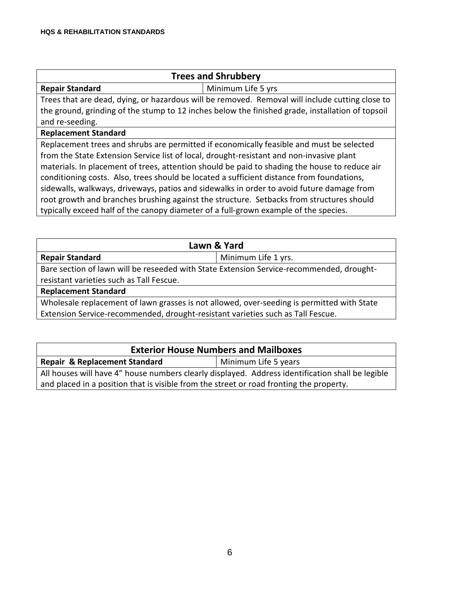| <b>Trees and Shrubbery</b>                                                                       |  |  |
|--------------------------------------------------------------------------------------------------|--|--|
| <b>Repair Standard</b><br>Minimum Life 5 yrs                                                     |  |  |
| Trees that are dead, dying, or hazardous will be removed. Removal will include cutting close to  |  |  |
| the ground, grinding of the stump to 12 inches below the finished grade, installation of topsoil |  |  |
| and re-seeding.                                                                                  |  |  |
| <b>Replacement Standard</b>                                                                      |  |  |
| Replacement trees and shrubs are permitted if economically feasible and must be selected         |  |  |
| from the State Extension Service list of local, drought-resistant and non-invasive plant         |  |  |
| materials. In placement of trees, attention should be paid to shading the house to reduce air    |  |  |
| conditioning costs. Also, trees should be located a sufficient distance from foundations,        |  |  |
| sidewalls, walkways, driveways, patios and sidewalks in order to avoid future damage from        |  |  |
| root growth and branches brushing against the structure. Setbacks from structures should         |  |  |
| typically exceed half of the canopy diameter of a full-grown example of the species.             |  |  |

| Lawn & Yard                                                                                |                     |  |
|--------------------------------------------------------------------------------------------|---------------------|--|
| <b>Repair Standard</b>                                                                     | Minimum Life 1 yrs. |  |
| Bare section of lawn will be reseeded with State Extension Service-recommended, drought-   |                     |  |
| resistant varieties such as Tall Fescue.                                                   |                     |  |
| <b>Replacement Standard</b>                                                                |                     |  |
| Wholesale replacement of lawn grasses is not allowed, over-seeding is permitted with State |                     |  |
| Extension Service-recommended, drought-resistant varieties such as Tall Fescue.            |                     |  |
|                                                                                            |                     |  |

| <b>Exterior House Numbers and Mailboxes</b>                                                      |  |  |
|--------------------------------------------------------------------------------------------------|--|--|
| <b>Repair &amp; Replacement Standard</b><br>Minimum Life 5 years                                 |  |  |
| All houses will have 4" house numbers clearly displayed. Address identification shall be legible |  |  |
| and placed in a position that is visible from the street or road fronting the property.          |  |  |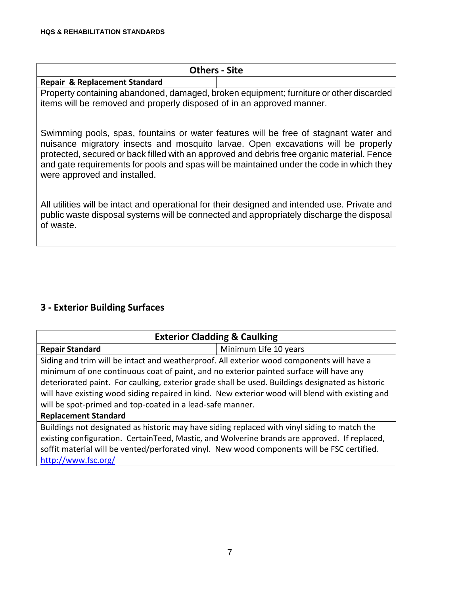| <b>Others - Site</b>                                                                     |  |
|------------------------------------------------------------------------------------------|--|
| <b>Repair &amp; Replacement Standard</b>                                                 |  |
| . Property containing abandoned, damaged, broken equipment: furniture or other discarded |  |

Property containing abandoned, damaged, broken equipment; furniture or other discarded items will be removed and properly disposed of in an approved manner.

Swimming pools, spas, fountains or water features will be free of stagnant water and nuisance migratory insects and mosquito larvae. Open excavations will be properly protected, secured or back filled with an approved and debris free organic material. Fence and gate requirements for pools and spas will be maintained under the code in which they were approved and installed.

All utilities will be intact and operational for their designed and intended use. Private and public waste disposal systems will be connected and appropriately discharge the disposal of waste.

#### **3 - Exterior Building Surfaces**

| <b>Exterior Cladding &amp; Caulking</b>                                                          |                       |  |
|--------------------------------------------------------------------------------------------------|-----------------------|--|
| <b>Repair Standard</b>                                                                           | Minimum Life 10 years |  |
| Siding and trim will be intact and weatherproof. All exterior wood components will have a        |                       |  |
| minimum of one continuous coat of paint, and no exterior painted surface will have any           |                       |  |
| deteriorated paint. For caulking, exterior grade shall be used. Buildings designated as historic |                       |  |
| will have existing wood siding repaired in kind. New exterior wood will blend with existing and  |                       |  |
| will be spot-primed and top-coated in a lead-safe manner.                                        |                       |  |
| <b>Replacement Standard</b>                                                                      |                       |  |
| Buildings not designated as historic may have siding replaced with vinyl siding to match the     |                       |  |
| existing configuration. CertainTeed, Mastic, and Wolverine brands are approved. If replaced,     |                       |  |
| soffit material will be vented/perforated vinyl. New wood components will be FSC certified.      |                       |  |

<http://www.fsc.org/>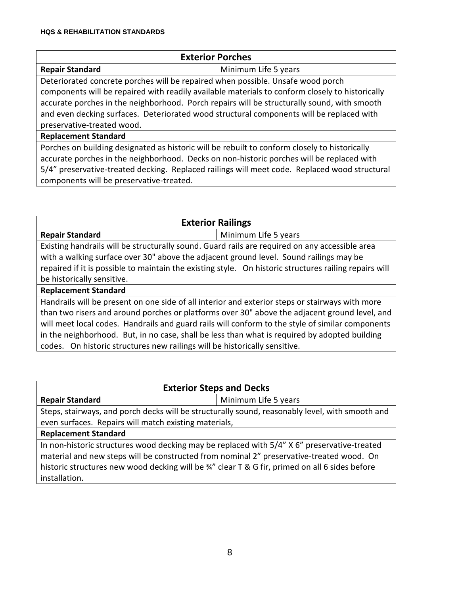| <b>Exterior Porches</b>                                                                         |                      |  |
|-------------------------------------------------------------------------------------------------|----------------------|--|
| <b>Repair Standard</b>                                                                          | Minimum Life 5 years |  |
| Deteriorated concrete porches will be repaired when possible. Unsafe wood porch                 |                      |  |
| components will be repaired with readily available materials to conform closely to historically |                      |  |
| accurate porches in the neighborhood. Porch repairs will be structurally sound, with smooth     |                      |  |
| and even decking surfaces. Deteriorated wood structural components will be replaced with        |                      |  |
| preservative-treated wood.                                                                      |                      |  |
| <b>Replacement Standard</b>                                                                     |                      |  |
| Porches on building designated as historic will be rebuilt to conform closely to historically   |                      |  |
| accurate porches in the neighborhood. Decks on non-historic porches will be replaced with       |                      |  |
| 5/4" preservative-treated decking. Replaced railings will meet code. Replaced wood structural   |                      |  |
| components will be preservative-treated.                                                        |                      |  |

| <b>Exterior Railings</b>                                                                               |                      |  |
|--------------------------------------------------------------------------------------------------------|----------------------|--|
| <b>Repair Standard</b>                                                                                 | Minimum Life 5 years |  |
| Existing handrails will be structurally sound. Guard rails are required on any accessible area         |                      |  |
| with a walking surface over 30" above the adjacent ground level. Sound railings may be                 |                      |  |
| repaired if it is possible to maintain the existing style. On historic structures railing repairs will |                      |  |
| be historically sensitive.                                                                             |                      |  |
| <b>Replacement Standard</b>                                                                            |                      |  |
| Handrails will be present on one side of all interior and exterior steps or stairways with more        |                      |  |
| than two risers and around porches or platforms over 30" above the adjacent ground level, and          |                      |  |
| will meet local codes. Handrails and guard rails will conform to the style of similar components       |                      |  |
| in the neighborhood. But, in no case, shall be less than what is required by adopted building          |                      |  |
| codes. On historic structures new railings will be historically sensitive.                             |                      |  |

| <b>Exterior Steps and Decks</b>                                                                 |                      |  |
|-------------------------------------------------------------------------------------------------|----------------------|--|
| <b>Repair Standard</b>                                                                          | Minimum Life 5 years |  |
| Steps, stairways, and porch decks will be structurally sound, reasonably level, with smooth and |                      |  |
| even surfaces. Repairs will match existing materials,                                           |                      |  |
| <b>Replacement Standard</b>                                                                     |                      |  |
| In non-historic structures wood decking may be replaced with 5/4" X 6" preservative-treated     |                      |  |
| material and new steps will be constructed from nominal 2" preservative-treated wood. On        |                      |  |
| historic structures new wood decking will be 34" clear T & G fir, primed on all 6 sides before  |                      |  |
| installation.                                                                                   |                      |  |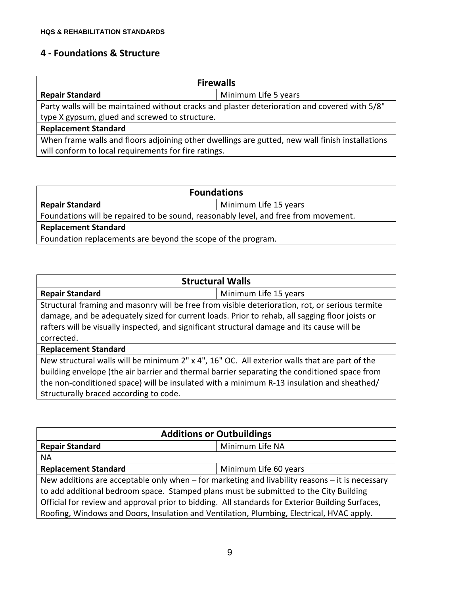### **4 - Foundations & Structure**

| <b>Firewalls</b>                                                                                |                      |  |
|-------------------------------------------------------------------------------------------------|----------------------|--|
| <b>Repair Standard</b>                                                                          | Minimum Life 5 years |  |
| Party walls will be maintained without cracks and plaster deterioration and covered with 5/8"   |                      |  |
| type X gypsum, glued and screwed to structure.                                                  |                      |  |
| <b>Replacement Standard</b>                                                                     |                      |  |
| When frame walls and floors adjoining other dwellings are gutted, new wall finish installations |                      |  |
| will conform to local requirements for fire ratings.                                            |                      |  |

| <b>Foundations</b>                                                                  |                       |  |
|-------------------------------------------------------------------------------------|-----------------------|--|
| <b>Repair Standard</b>                                                              | Minimum Life 15 years |  |
| Foundations will be repaired to be sound, reasonably level, and free from movement. |                       |  |
| <b>Replacement Standard</b>                                                         |                       |  |
| Foundation replacements are beyond the scope of the program.                        |                       |  |

| <b>Structural Walls</b>                                                                         |                       |  |
|-------------------------------------------------------------------------------------------------|-----------------------|--|
| <b>Repair Standard</b>                                                                          | Minimum Life 15 years |  |
| Structural framing and masonry will be free from visible deterioration, rot, or serious termite |                       |  |
| damage, and be adequately sized for current loads. Prior to rehab, all sagging floor joists or  |                       |  |
| rafters will be visually inspected, and significant structural damage and its cause will be     |                       |  |
| corrected.                                                                                      |                       |  |
| <b>Replacement Standard</b>                                                                     |                       |  |
| New structural walls will be minimum 2" x 4", 16" OC. All exterior walls that are part of the   |                       |  |
| building envelope (the air barrier and thermal barrier separating the conditioned space from    |                       |  |
| the non-conditioned space) will be insulated with a minimum R-13 insulation and sheathed/       |                       |  |
| structurally braced according to code.                                                          |                       |  |

| <b>Additions or Outbuildings</b>                                                                                                                                                                                                                                                                                                                                                              |                       |  |
|-----------------------------------------------------------------------------------------------------------------------------------------------------------------------------------------------------------------------------------------------------------------------------------------------------------------------------------------------------------------------------------------------|-----------------------|--|
| <b>Repair Standard</b>                                                                                                                                                                                                                                                                                                                                                                        | Minimum Life NA       |  |
| <b>NA</b>                                                                                                                                                                                                                                                                                                                                                                                     |                       |  |
| <b>Replacement Standard</b>                                                                                                                                                                                                                                                                                                                                                                   | Minimum Life 60 years |  |
| New additions are acceptable only when $-$ for marketing and livability reasons $-$ it is necessary<br>to add additional bedroom space. Stamped plans must be submitted to the City Building<br>Official for review and approval prior to bidding. All standards for Exterior Building Surfaces,<br>Roofing, Windows and Doors, Insulation and Ventilation, Plumbing, Electrical, HVAC apply. |                       |  |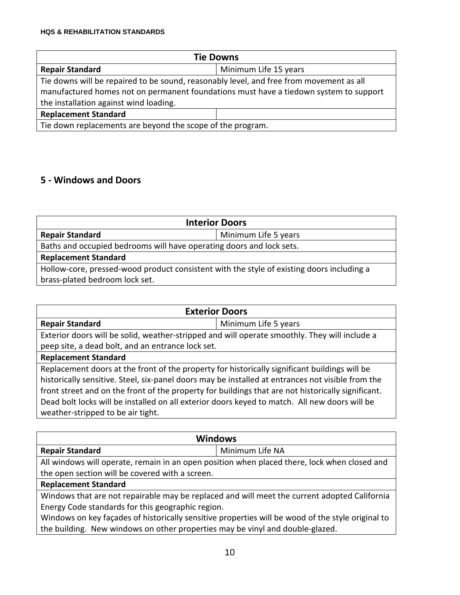| <b>Tie Downs</b>                                                                        |                       |
|-----------------------------------------------------------------------------------------|-----------------------|
| <b>Repair Standard</b>                                                                  | Minimum Life 15 years |
| Tie downs will be repaired to be sound, reasonably level, and free from movement as all |                       |
| manufactured homes not on permanent foundations must have a tiedown system to support   |                       |
| the installation against wind loading.                                                  |                       |
| <b>Replacement Standard</b>                                                             |                       |
| Tie down replacements are beyond the scope of the program.                              |                       |

### **5 - Windows and Doors**

| <b>Interior Doors</b>                                                                     |                      |  |
|-------------------------------------------------------------------------------------------|----------------------|--|
| <b>Repair Standard</b>                                                                    | Minimum Life 5 years |  |
| Baths and occupied bedrooms will have operating doors and lock sets.                      |                      |  |
| <b>Replacement Standard</b>                                                               |                      |  |
| Hollow-core, pressed-wood product consistent with the style of existing doors including a |                      |  |
| brass-plated bedroom lock set.                                                            |                      |  |

| <b>Exterior Doors</b>                                                                                                                                                                                                                                                                                                                                                                                     |                      |  |
|-----------------------------------------------------------------------------------------------------------------------------------------------------------------------------------------------------------------------------------------------------------------------------------------------------------------------------------------------------------------------------------------------------------|----------------------|--|
| <b>Repair Standard</b>                                                                                                                                                                                                                                                                                                                                                                                    | Minimum Life 5 years |  |
| Exterior doors will be solid, weather-stripped and will operate smoothly. They will include a                                                                                                                                                                                                                                                                                                             |                      |  |
| peep site, a dead bolt, and an entrance lock set.                                                                                                                                                                                                                                                                                                                                                         |                      |  |
| <b>Replacement Standard</b>                                                                                                                                                                                                                                                                                                                                                                               |                      |  |
| Replacement doors at the front of the property for historically significant buildings will be<br>historically sensitive. Steel, six-panel doors may be installed at entrances not visible from the<br>front street and on the front of the property for buildings that are not historically significant.<br>Dead bolt locks will be installed on all exterior doors keyed to match. All new doors will be |                      |  |
| weather-stripped to be air tight.                                                                                                                                                                                                                                                                                                                                                                         |                      |  |

| <b>Windows</b>                                                                                    |                 |  |
|---------------------------------------------------------------------------------------------------|-----------------|--|
| <b>Repair Standard</b>                                                                            | Minimum Life NA |  |
| All windows will operate, remain in an open position when placed there, lock when closed and      |                 |  |
| the open section will be covered with a screen.                                                   |                 |  |
| <b>Replacement Standard</b>                                                                       |                 |  |
| Windows that are not repairable may be replaced and will meet the current adopted California      |                 |  |
| Energy Code standards for this geographic region.                                                 |                 |  |
| Windows on key façades of historically sensitive properties will be wood of the style original to |                 |  |
| the building. New windows on other properties may be vinyl and double-glazed.                     |                 |  |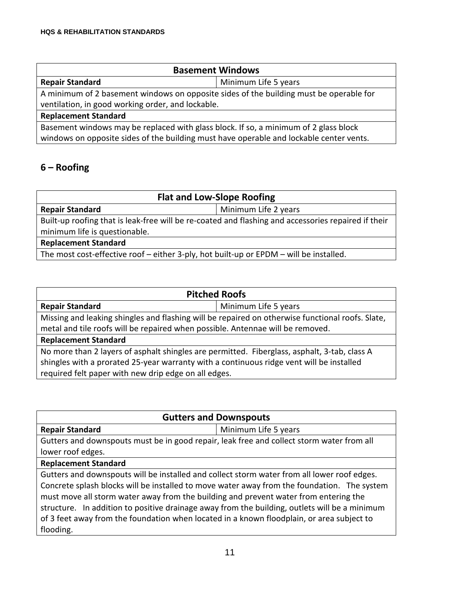| <b>Basement Windows</b>                                                                 |                      |  |
|-----------------------------------------------------------------------------------------|----------------------|--|
| <b>Repair Standard</b>                                                                  | Minimum Life 5 years |  |
| A minimum of 2 basement windows on opposite sides of the building must be operable for  |                      |  |
| ventilation, in good working order, and lockable.                                       |                      |  |
| <b>Replacement Standard</b>                                                             |                      |  |
| Basement windows may be replaced with glass block. If so, a minimum of 2 glass block    |                      |  |
| windows on opposite sides of the building must have operable and lockable center vents. |                      |  |

## **6 – Roofing**

| <b>Flat and Low-Slope Roofing</b>                                                                   |                      |  |
|-----------------------------------------------------------------------------------------------------|----------------------|--|
| <b>Repair Standard</b>                                                                              | Minimum Life 2 years |  |
| Built-up roofing that is leak-free will be re-coated and flashing and accessories repaired if their |                      |  |
| minimum life is questionable.                                                                       |                      |  |
| <b>Replacement Standard</b>                                                                         |                      |  |
| The most cost-effective roof – either 3-ply, hot built-up or EPDM – will be installed.              |                      |  |

| <b>Pitched Roofs</b>                                                                             |                      |  |
|--------------------------------------------------------------------------------------------------|----------------------|--|
| <b>Repair Standard</b>                                                                           | Minimum Life 5 years |  |
| Missing and leaking shingles and flashing will be repaired on otherwise functional roofs. Slate, |                      |  |
| metal and tile roofs will be repaired when possible. Antennae will be removed.                   |                      |  |
| <b>Replacement Standard</b>                                                                      |                      |  |
| No more than 2 layers of asphalt shingles are permitted. Fiberglass, asphalt, 3-tab, class A     |                      |  |
| shingles with a prorated 25-year warranty with a continuous ridge vent will be installed         |                      |  |
| required felt paper with new drip edge on all edges.                                             |                      |  |

| <b>Gutters and Downspouts</b>                                                                    |                      |  |
|--------------------------------------------------------------------------------------------------|----------------------|--|
| <b>Repair Standard</b>                                                                           | Minimum Life 5 years |  |
| Gutters and downspouts must be in good repair, leak free and collect storm water from all        |                      |  |
| lower roof edges.                                                                                |                      |  |
| <b>Replacement Standard</b>                                                                      |                      |  |
| Gutters and downspouts will be installed and collect storm water from all lower roof edges.      |                      |  |
| Concrete splash blocks will be installed to move water away from the foundation. The system      |                      |  |
| must move all storm water away from the building and prevent water from entering the             |                      |  |
| In addition to positive drainage away from the building, outlets will be a minimum<br>structure. |                      |  |
| of 3 feet away from the foundation when located in a known floodplain, or area subject to        |                      |  |
| flooding.                                                                                        |                      |  |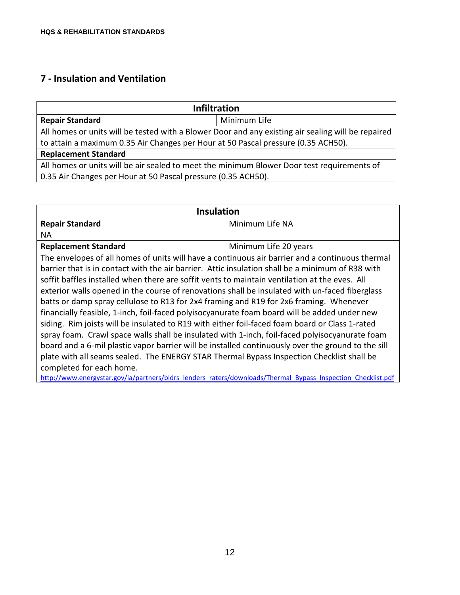## **7 - Insulation and Ventilation**

| <b>Infiltration</b>                                                                                |              |  |
|----------------------------------------------------------------------------------------------------|--------------|--|
| <b>Repair Standard</b>                                                                             | Minimum Life |  |
| All homes or units will be tested with a Blower Door and any existing air sealing will be repaired |              |  |
| to attain a maximum 0.35 Air Changes per Hour at 50 Pascal pressure (0.35 ACH50).                  |              |  |
| <b>Replacement Standard</b>                                                                        |              |  |
| All homes or units will be air sealed to meet the minimum Blower Door test requirements of         |              |  |
| 0.35 Air Changes per Hour at 50 Pascal pressure (0.35 ACH50).                                      |              |  |

| <b>Insulation</b>                                                                                            |                       |  |
|--------------------------------------------------------------------------------------------------------------|-----------------------|--|
| <b>Repair Standard</b>                                                                                       | Minimum Life NA       |  |
| NA.                                                                                                          |                       |  |
| <b>Replacement Standard</b>                                                                                  | Minimum Life 20 years |  |
| The envelopes of all homes of units will have a continuous air barrier and a continuous thermal              |                       |  |
| barrier that is in contact with the air barrier. Attic insulation shall be a minimum of R38 with             |                       |  |
| soffit baffles installed when there are soffit vents to maintain ventilation at the eves. All                |                       |  |
| exterior walls opened in the course of renovations shall be insulated with un-faced fiberglass               |                       |  |
| batts or damp spray cellulose to R13 for 2x4 framing and R19 for 2x6 framing. Whenever                       |                       |  |
| financially feasible, 1-inch, foil-faced polyisocyanurate foam board will be added under new                 |                       |  |
| siding. Rim joists will be insulated to R19 with either foil-faced foam board or Class 1-rated               |                       |  |
| spray foam. Crawl space walls shall be insulated with 1-inch, foil-faced polyisocyanurate foam               |                       |  |
| board and a 6-mil plastic vapor barrier will be installed continuously over the ground to the sill           |                       |  |
| plate with all seams sealed. The ENERGY STAR Thermal Bypass Inspection Checklist shall be                    |                       |  |
| completed for each home.                                                                                     |                       |  |
| http://www.energystar.gov/ia/partners/bldrs lenders raters/downloads/Thermal Bypass Inspection Checklist.pdf |                       |  |

12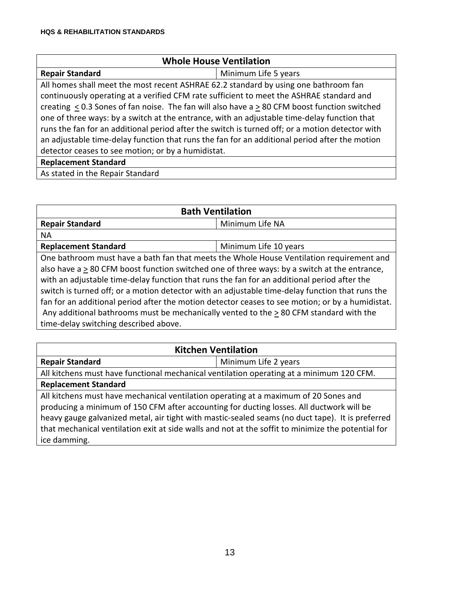| <b>Whole House Ventilation</b>                                                                  |                      |  |
|-------------------------------------------------------------------------------------------------|----------------------|--|
| <b>Repair Standard</b>                                                                          | Minimum Life 5 years |  |
| All homes shall meet the most recent ASHRAE 62.2 standard by using one bathroom fan             |                      |  |
| continuously operating at a verified CFM rate sufficient to meet the ASHRAE standard and        |                      |  |
| creating < 0.3 Sones of fan noise. The fan will also have a > 80 CFM boost function switched    |                      |  |
| one of three ways: by a switch at the entrance, with an adjustable time-delay function that     |                      |  |
| runs the fan for an additional period after the switch is turned off; or a motion detector with |                      |  |
| an adjustable time-delay function that runs the fan for an additional period after the motion   |                      |  |
| detector ceases to see motion; or by a humidistat.                                              |                      |  |
| <b>Replacement Standard</b>                                                                     |                      |  |
| As stated in the Repair Standard                                                                |                      |  |

| <b>Bath Ventilation</b>                                                                          |                       |  |
|--------------------------------------------------------------------------------------------------|-----------------------|--|
| <b>Repair Standard</b>                                                                           | Minimum Life NA       |  |
| <b>NA</b>                                                                                        |                       |  |
| <b>Replacement Standard</b>                                                                      | Minimum Life 10 years |  |
| One bathroom must have a bath fan that meets the Whole House Ventilation requirement and         |                       |  |
| also have a > 80 CFM boost function switched one of three ways: by a switch at the entrance,     |                       |  |
| with an adjustable time-delay function that runs the fan for an additional period after the      |                       |  |
| switch is turned off; or a motion detector with an adjustable time-delay function that runs the  |                       |  |
| fan for an additional period after the motion detector ceases to see motion; or by a humidistat. |                       |  |
| Any additional bathrooms must be mechanically vented to the $\geq$ 80 CFM standard with the      |                       |  |
| time-delay switching described above.                                                            |                       |  |

| <b>Kitchen Ventilation</b>                                                                         |                      |  |
|----------------------------------------------------------------------------------------------------|----------------------|--|
| <b>Repair Standard</b>                                                                             | Minimum Life 2 years |  |
| All kitchens must have functional mechanical ventilation operating at a minimum 120 CFM.           |                      |  |
| <b>Replacement Standard</b>                                                                        |                      |  |
| All kitchens must have mechanical ventilation operating at a maximum of 20 Sones and               |                      |  |
| producing a minimum of 150 CFM after accounting for ducting losses. All ductwork will be           |                      |  |
| heavy gauge galvanized metal, air tight with mastic-sealed seams (no duct tape). It is preferred   |                      |  |
| that mechanical ventilation exit at side walls and not at the soffit to minimize the potential for |                      |  |
| ice damming.                                                                                       |                      |  |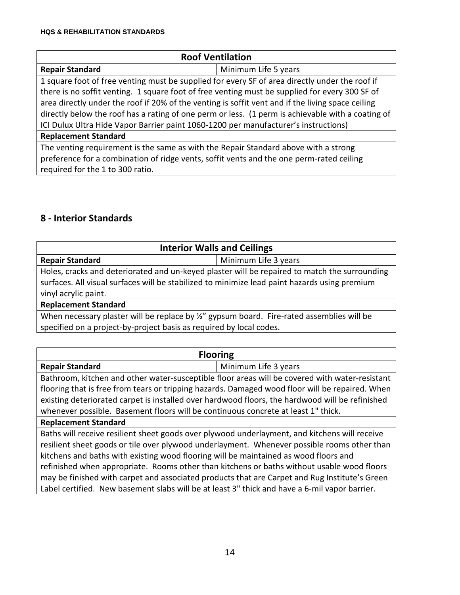| <b>Roof Ventilation</b>                                                                           |                      |
|---------------------------------------------------------------------------------------------------|----------------------|
| <b>Repair Standard</b>                                                                            | Minimum Life 5 years |
| 1 square foot of free venting must be supplied for every SF of area directly under the roof if    |                      |
| there is no soffit venting. 1 square foot of free venting must be supplied for every 300 SF of    |                      |
| area directly under the roof if 20% of the venting is soffit vent and if the living space ceiling |                      |
| directly below the roof has a rating of one perm or less. (1 perm is achievable with a coating of |                      |
| ICI Dulux Ultra Hide Vapor Barrier paint 1060-1200 per manufacturer's instructions)               |                      |
| <b>Replacement Standard</b>                                                                       |                      |
| The venting requirement is the same as with the Repair Standard above with a strong               |                      |
| preference for a combination of ridge vents, soffit vents and the one perm-rated ceiling          |                      |
| required for the 1 to 300 ratio.                                                                  |                      |

## **8 - Interior Standards**

| <b>Interior Walls and Ceilings</b>                                                            |                      |  |
|-----------------------------------------------------------------------------------------------|----------------------|--|
| <b>Repair Standard</b>                                                                        | Minimum Life 3 years |  |
| Holes, cracks and deteriorated and un-keyed plaster will be repaired to match the surrounding |                      |  |
| surfaces. All visual surfaces will be stabilized to minimize lead paint hazards using premium |                      |  |
| vinyl acrylic paint.                                                                          |                      |  |
| <b>Replacement Standard</b>                                                                   |                      |  |
| When necessary plaster will be replace by %" gypsum board. Fire-rated assemblies will be      |                      |  |
| specified on a project-by-project basis as required by local codes.                           |                      |  |

| <b>Flooring</b>                                                                                 |                      |  |
|-------------------------------------------------------------------------------------------------|----------------------|--|
| <b>Repair Standard</b>                                                                          | Minimum Life 3 years |  |
| Bathroom, kitchen and other water-susceptible floor areas will be covered with water-resistant  |                      |  |
| flooring that is free from tears or tripping hazards. Damaged wood floor will be repaired. When |                      |  |
| existing deteriorated carpet is installed over hardwood floors, the hardwood will be refinished |                      |  |
| whenever possible. Basement floors will be continuous concrete at least 1" thick.               |                      |  |
| <b>Replacement Standard</b>                                                                     |                      |  |
| Baths will receive resilient sheet goods over plywood underlayment, and kitchens will receive   |                      |  |
| resilient sheet goods or tile over plywood underlayment. Whenever possible rooms other than     |                      |  |
| kitchens and baths with existing wood flooring will be maintained as wood floors and            |                      |  |
| refinished when appropriate. Rooms other than kitchens or baths without usable wood floors      |                      |  |
| may be finished with carpet and associated products that are Carpet and Rug Institute's Green   |                      |  |
| Label certified. New basement slabs will be at least 3" thick and have a 6-mil vapor barrier.   |                      |  |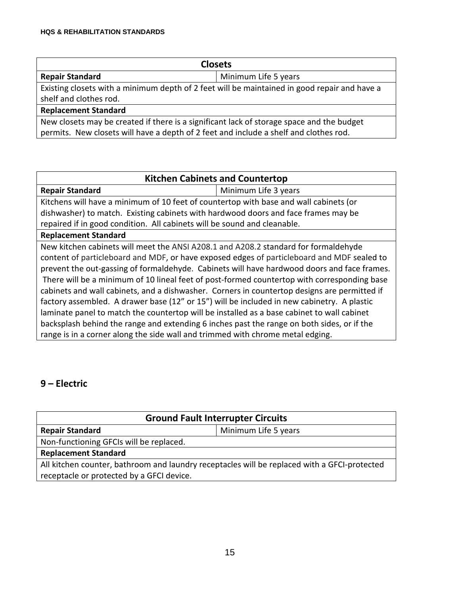| <b>Closets</b>                                                                               |                      |  |
|----------------------------------------------------------------------------------------------|----------------------|--|
| <b>Repair Standard</b>                                                                       | Minimum Life 5 years |  |
| Existing closets with a minimum depth of 2 feet will be maintained in good repair and have a |                      |  |
| shelf and clothes rod.                                                                       |                      |  |
| <b>Replacement Standard</b>                                                                  |                      |  |
| New closets may be created if there is a significant lack of storage space and the budget    |                      |  |
| permits. New closets will have a depth of 2 feet and include a shelf and clothes rod.        |                      |  |

| <b>Kitchen Cabinets and Countertop</b>                                                       |  |  |
|----------------------------------------------------------------------------------------------|--|--|
| <b>Repair Standard</b><br>Minimum Life 3 years                                               |  |  |
| Kitchens will have a minimum of 10 feet of countertop with base and wall cabinets (or        |  |  |
| dishwasher) to match. Existing cabinets with hardwood doors and face frames may be           |  |  |
| repaired if in good condition. All cabinets will be sound and cleanable.                     |  |  |
| <b>Replacement Standard</b>                                                                  |  |  |
| New kitchen cabinets will meet the ANSI A208.1 and A208.2 standard for formaldehyde          |  |  |
| content of particleboard and MDF, or have exposed edges of particleboard and MDF sealed to   |  |  |
| prevent the out-gassing of formaldehyde. Cabinets will have hardwood doors and face frames.  |  |  |
| There will be a minimum of 10 lineal feet of post-formed countertop with corresponding base  |  |  |
| cabinets and wall cabinets, and a dishwasher. Corners in countertop designs are permitted if |  |  |
| factory assembled. A drawer base (12" or 15") will be included in new cabinetry. A plastic   |  |  |
| laminate panel to match the countertop will be installed as a base cabinet to wall cabinet   |  |  |
| backsplash behind the range and extending 6 inches past the range on both sides, or if the   |  |  |
| range is in a corner along the side wall and trimmed with chrome metal edging.               |  |  |

## **9 – Electric**

| <b>Ground Fault Interrupter Circuits</b>                                                     |                      |  |
|----------------------------------------------------------------------------------------------|----------------------|--|
| <b>Repair Standard</b>                                                                       | Minimum Life 5 years |  |
| Non-functioning GFCIs will be replaced.                                                      |                      |  |
| <b>Replacement Standard</b>                                                                  |                      |  |
| All kitchen counter, bathroom and laundry receptacles will be replaced with a GFCI-protected |                      |  |
| receptacle or protected by a GFCI device.                                                    |                      |  |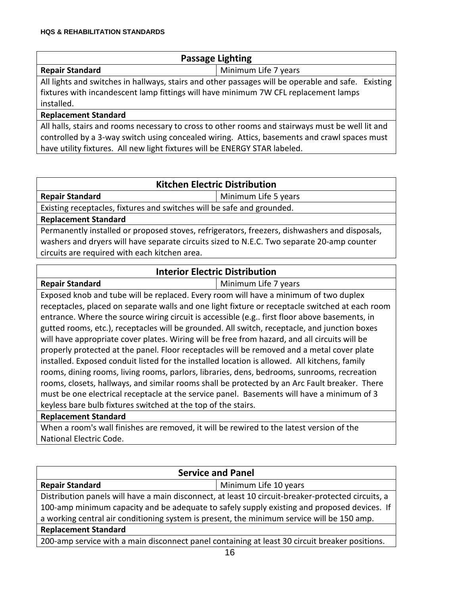| <b>Passage Lighting</b> |  |
|-------------------------|--|
|-------------------------|--|

**Repair Standard** Minimum Life 7 years

All lights and switches in hallways, stairs and other passages will be operable and safe. Existing fixtures with incandescent lamp fittings will have minimum 7W CFL replacement lamps installed.

#### **Replacement Standard**

All halls, stairs and rooms necessary to cross to other rooms and stairways must be well lit and controlled by a 3-way switch using concealed wiring. Attics, basements and crawl spaces must have utility fixtures. All new light fixtures will be ENERGY STAR labeled.

#### **Kitchen Electric Distribution**

**Repair Standard** Minimum Life 5 years

Existing receptacles, fixtures and switches will be safe and grounded.

**Replacement Standard**

**Repair Standard** 

Permanently installed or proposed stoves, refrigerators, freezers, dishwashers and disposals, washers and dryers will have separate circuits sized to N.E.C. Two separate 20-amp counter circuits are required with each kitchen area.

#### **Interior Electric Distribution**

| Minimum Life 7 years |  |
|----------------------|--|

Exposed knob and tube will be replaced. Every room will have a minimum of two duplex receptacles, placed on separate walls and one light fixture or receptacle switched at each room entrance. Where the source wiring circuit is accessible (e.g.. first floor above basements, in gutted rooms, etc.), receptacles will be grounded. All switch, receptacle, and junction boxes will have appropriate cover plates. Wiring will be free from hazard, and all circuits will be properly protected at the panel. Floor receptacles will be removed and a metal cover plate installed. Exposed conduit listed for the installed location is allowed. All kitchens, family rooms, dining rooms, living rooms, parlors, libraries, dens, bedrooms, sunrooms, recreation rooms, closets, hallways, and similar rooms shall be protected by an Arc Fault breaker. There must be one electrical receptacle at the service panel. Basements will have a minimum of 3 keyless bare bulb fixtures switched at the top of the stairs.

#### **Replacement Standard**

When a room's wall finishes are removed, it will be rewired to the latest version of the National Electric Code.

| <b>Service and Panel</b>                                                                           |                       |  |
|----------------------------------------------------------------------------------------------------|-----------------------|--|
| <b>Repair Standard</b>                                                                             | Minimum Life 10 years |  |
| Distribution panels will have a main disconnect, at least 10 circuit-breaker-protected circuits, a |                       |  |
| 100-amp minimum capacity and be adequate to safely supply existing and proposed devices. If        |                       |  |
| a working central air conditioning system is present, the minimum service will be 150 amp.         |                       |  |
| <b>Replacement Standard</b>                                                                        |                       |  |
| 200-amp service with a main disconnect panel containing at least 30 circuit breaker positions.     |                       |  |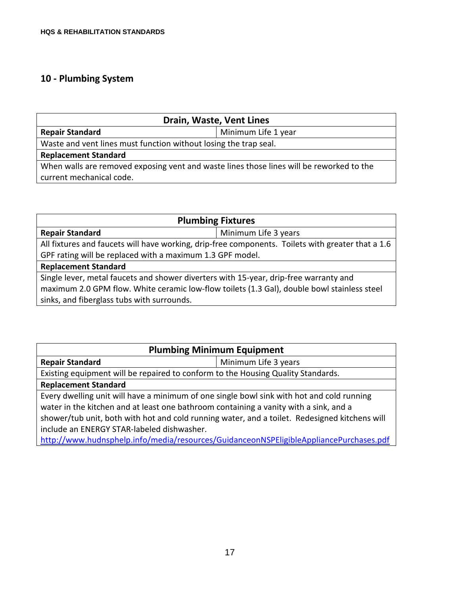## **10 - Plumbing System**

| Drain, Waste, Vent Lines                                                                 |                     |  |
|------------------------------------------------------------------------------------------|---------------------|--|
| <b>Repair Standard</b>                                                                   | Minimum Life 1 year |  |
| Waste and vent lines must function without losing the trap seal.                         |                     |  |
| <b>Replacement Standard</b>                                                              |                     |  |
| When walls are removed exposing vent and waste lines those lines will be reworked to the |                     |  |
| current mechanical code.                                                                 |                     |  |

| <b>Plumbing Fixtures</b>                                                                          |                      |  |
|---------------------------------------------------------------------------------------------------|----------------------|--|
| <b>Repair Standard</b>                                                                            | Minimum Life 3 years |  |
| All fixtures and faucets will have working, drip-free components. Toilets with greater that a 1.6 |                      |  |
| GPF rating will be replaced with a maximum 1.3 GPF model.                                         |                      |  |
| <b>Replacement Standard</b>                                                                       |                      |  |
| Single lever, metal faucets and shower diverters with 15-year, drip-free warranty and             |                      |  |
| maximum 2.0 GPM flow. White ceramic low-flow toilets (1.3 Gal), double bowl stainless steel       |                      |  |
| sinks, and fiberglass tubs with surrounds.                                                        |                      |  |

| <b>Plumbing Minimum Equipment</b>                                                             |                      |
|-----------------------------------------------------------------------------------------------|----------------------|
| <b>Repair Standard</b>                                                                        | Minimum Life 3 years |
| Existing equipment will be repaired to conform to the Housing Quality Standards.              |                      |
| <b>Replacement Standard</b>                                                                   |                      |
| Every dwelling unit will have a minimum of one single bowl sink with hot and cold running     |                      |
| water in the kitchen and at least one bathroom containing a vanity with a sink, and a         |                      |
| shower/tub unit, both with hot and cold running water, and a toilet. Redesigned kitchens will |                      |
| include an ENERGY STAR-labeled dishwasher.                                                    |                      |
| http://www.hudnsphelp.info/media/resources/GuidanceonNSPEligibleAppliancePurchases.pdf        |                      |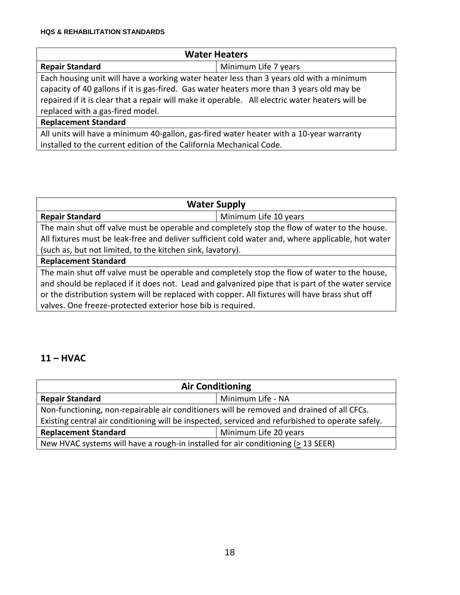| <b>Water Heaters</b>                                                                            |                      |
|-------------------------------------------------------------------------------------------------|----------------------|
| <b>Repair Standard</b>                                                                          | Minimum Life 7 years |
| Each housing unit will have a working water heater less than 3 years old with a minimum         |                      |
| capacity of 40 gallons if it is gas-fired. Gas water heaters more than 3 years old may be       |                      |
| repaired if it is clear that a repair will make it operable. All electric water heaters will be |                      |
| replaced with a gas-fired model.                                                                |                      |
| <b>Replacement Standard</b>                                                                     |                      |
| All units will have a minimum 40-gallon, gas-fired water heater with a 10-year warranty         |                      |
| installed to the current edition of the California Mechanical Code.                             |                      |

| <b>Water Supply</b>                                                                               |                       |
|---------------------------------------------------------------------------------------------------|-----------------------|
| <b>Repair Standard</b>                                                                            | Minimum Life 10 years |
| The main shut off valve must be operable and completely stop the flow of water to the house.      |                       |
| All fixtures must be leak-free and deliver sufficient cold water and, where applicable, hot water |                       |
| (such as, but not limited, to the kitchen sink, lavatory).                                        |                       |
| <b>Replacement Standard</b>                                                                       |                       |
| The main shut off valve must be operable and completely stop the flow of water to the house,      |                       |
| and should be replaced if it does not. Lead and galvanized pipe that is part of the water service |                       |
| or the distribution system will be replaced with copper. All fixtures will have brass shut off    |                       |
| valves. One freeze-protected exterior hose bib is required.                                       |                       |

## **11 – HVAC**

| <b>Air Conditioning</b>                                                                          |                       |  |
|--------------------------------------------------------------------------------------------------|-----------------------|--|
| <b>Repair Standard</b>                                                                           | Minimum Life - NA     |  |
| Non-functioning, non-repairable air conditioners will be removed and drained of all CFCs.        |                       |  |
| Existing central air conditioning will be inspected, serviced and refurbished to operate safely. |                       |  |
| <b>Replacement Standard</b>                                                                      | Minimum Life 20 years |  |
| New HVAC systems will have a rough-in installed for air conditioning (> 13 SEER)                 |                       |  |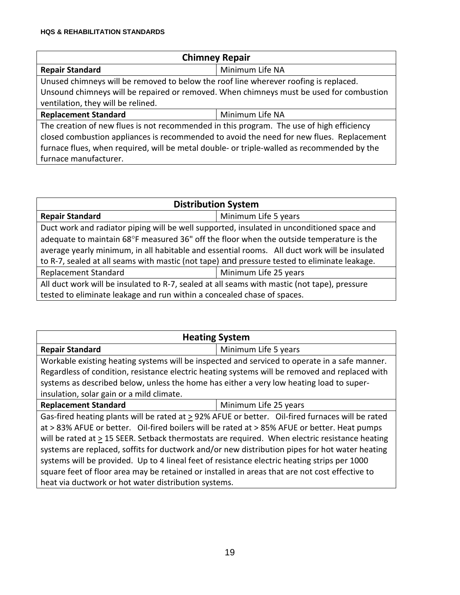| <b>Chimney Repair</b>                                                                      |                 |
|--------------------------------------------------------------------------------------------|-----------------|
| <b>Repair Standard</b>                                                                     | Minimum Life NA |
| Unused chimneys will be removed to below the roof line wherever roofing is replaced.       |                 |
| Unsound chimneys will be repaired or removed. When chimneys must be used for combustion    |                 |
| ventilation, they will be relined.                                                         |                 |
| <b>Replacement Standard</b>                                                                | Minimum Life NA |
| The creation of new flues is not recommended in this program. The use of high efficiency   |                 |
| closed combustion appliances is recommended to avoid the need for new flues. Replacement   |                 |
| furnace flues, when required, will be metal double- or triple-walled as recommended by the |                 |
| furnace manufacturer.                                                                      |                 |

| <b>Distribution System</b>                                                                    |                       |
|-----------------------------------------------------------------------------------------------|-----------------------|
| <b>Repair Standard</b>                                                                        | Minimum Life 5 years  |
| Duct work and radiator piping will be well supported, insulated in unconditioned space and    |                       |
| adequate to maintain 68°F measured 36" off the floor when the outside temperature is the      |                       |
| average yearly minimum, in all habitable and essential rooms. All duct work will be insulated |                       |
| to R-7, sealed at all seams with mastic (not tape) and pressure tested to eliminate leakage.  |                       |
| <b>Replacement Standard</b>                                                                   | Minimum Life 25 years |
| All duct work will be insulated to R-7, sealed at all seams with mastic (not tape), pressure  |                       |
| tested to eliminate leakage and run within a concealed chase of spaces.                       |                       |

| <b>Heating System</b>                                                                                 |                       |
|-------------------------------------------------------------------------------------------------------|-----------------------|
| <b>Repair Standard</b>                                                                                | Minimum Life 5 years  |
| Workable existing heating systems will be inspected and serviced to operate in a safe manner.         |                       |
| Regardless of condition, resistance electric heating systems will be removed and replaced with        |                       |
| systems as described below, unless the home has either a very low heating load to super-              |                       |
| insulation, solar gain or a mild climate.                                                             |                       |
| <b>Replacement Standard</b>                                                                           | Minimum Life 25 years |
| Gas-fired heating plants will be rated at $\geq$ 92% AFUE or better. Oil-fired furnaces will be rated |                       |
| at > 83% AFUE or better. Oil-fired boilers will be rated at > 85% AFUE or better. Heat pumps          |                       |
| will be rated at $\geq$ 15 SEER. Setback thermostats are required. When electric resistance heating   |                       |
| systems are replaced, soffits for ductwork and/or new distribution pipes for hot water heating        |                       |
| systems will be provided. Up to 4 lineal feet of resistance electric heating strips per 1000          |                       |
| square feet of floor area may be retained or installed in areas that are not cost effective to        |                       |
| heat via ductwork or hot water distribution systems.                                                  |                       |